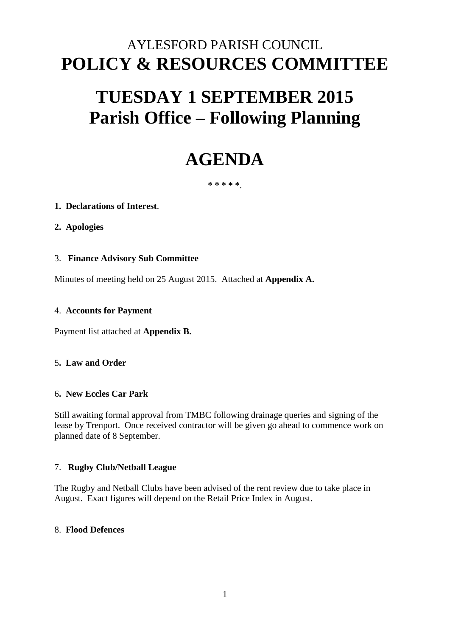# AYLESFORD PARISH COUNCIL **POLICY & RESOURCES COMMITTEE**

# **TUESDAY 1 SEPTEMBER 2015 Parish Office – Following Planning**

# **AGENDA**

# **\* \* \* \* \***.

# **1. Declarations of Interest**.

# **2. Apologies**

# 3. **Finance Advisory Sub Committee**

Minutes of meeting held on 25 August 2015. Attached at **Appendix A.** 

#### 4. **Accounts for Payment**

Payment list attached at **Appendix B.** 

#### 5**. Law and Order**

#### 6**. New Eccles Car Park**

Still awaiting formal approval from TMBC following drainage queries and signing of the lease by Trenport. Once received contractor will be given go ahead to commence work on planned date of 8 September.

#### 7. **Rugby Club/Netball League**

The Rugby and Netball Clubs have been advised of the rent review due to take place in August. Exact figures will depend on the Retail Price Index in August.

#### 8. **Flood Defences**